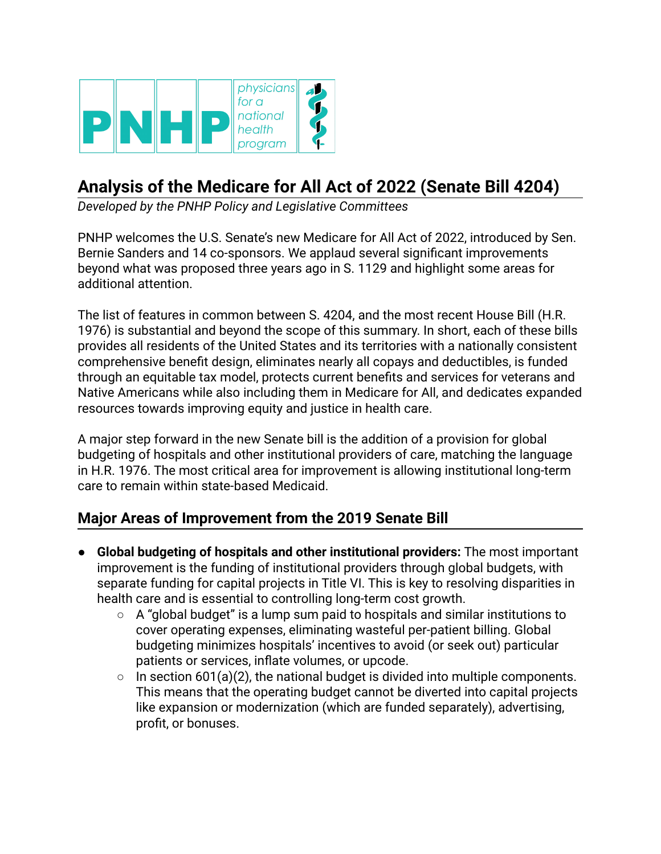

# **Analysis of the Medicare for All Act of 2022 (Senate Bill 4204)**

*Developed by the PNHP Policy and Legislative Committees*

PNHP welcomes the U.S. Senate's new Medicare for All Act of 2022, introduced by Sen. Bernie Sanders and 14 co-sponsors. We applaud several significant improvements beyond what was proposed three years ago in S. 1129 and highlight some areas for additional attention.

The list of features in common between S. 4204, and the most recent House Bill (H.R. 1976) is substantial and beyond the scope of this summary. In short, each of these bills provides all residents of the United States and its territories with a nationally consistent comprehensive benefit design, eliminates nearly all copays and deductibles, is funded through an equitable tax model, protects current benefits and services for veterans and Native Americans while also including them in Medicare for All, and dedicates expanded resources towards improving equity and justice in health care.

A major step forward in the new Senate bill is the addition of a provision for global budgeting of hospitals and other institutional providers of care, matching the language in H.R. 1976. The most critical area for improvement is allowing institutional long-term care to remain within state-based Medicaid.

# **Major Areas of Improvement from the 2019 Senate Bill**

- **● Global budgeting of hospitals and other institutional providers:** The most important improvement is the funding of institutional providers through global budgets, with separate funding for capital projects in Title VI. This is key to resolving disparities in health care and is essential to controlling long-term cost growth.
	- **○** A "global budget" is a lump sum paid to hospitals and similar institutions to cover operating expenses, eliminating wasteful per-patient billing. Global budgeting minimizes hospitals' incentives to avoid (or seek out) particular patients or services, inflate volumes, or upcode.
	- **○** In section 601(a)(2), the national budget is divided into multiple components. This means that the operating budget cannot be diverted into capital projects like expansion or modernization (which are funded separately), advertising, profit, or bonuses.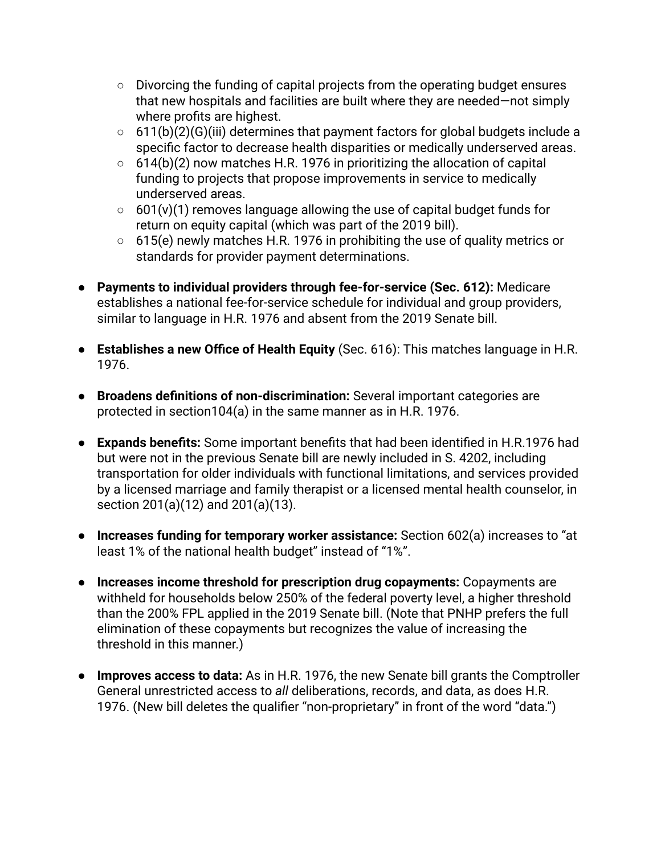- **○** Divorcing the funding of capital projects from the operating budget ensures that new hospitals and facilities are built where they are needed—not simply where profits are highest.
- **○** 611(b)(2)(G)(iii) determines that payment factors for global budgets include a specific factor to decrease health disparities or medically underserved areas.
- **○** 614(b)(2) now matches H.R. 1976 in prioritizing the allocation of capital funding to projects that propose improvements in service to medically underserved areas.
- **○** 601(v)(1) removes language allowing the use of capital budget funds for return on equity capital (which was part of the 2019 bill).
- **○** 615(e) newly matches H.R. 1976 in prohibiting the use of quality metrics or standards for provider payment determinations.
- **● Payments to individual providers through fee-for-service (Sec. 612):** Medicare establishes a national fee-for-service schedule for individual and group providers, similar to language in H.R. 1976 and absent from the 2019 Senate bill.
- **Establishes a new Office of Health Equity** (Sec. 616): This matches language in H.R. 1976.
- **● Broadens definitions of non-discrimination:** Several important categories are protected in section104(a) in the same manner as in H.R. 1976.
- **● Expands benefits:** Some important benefits that had been identified in H.R.1976 had but were not in the previous Senate bill are newly included in S. 4202, including transportation for older individuals with functional limitations, and services provided by a licensed marriage and family therapist or a licensed mental health counselor, in section 201(a)(12) and 201(a)(13).
- **● Increases funding for temporary worker assistance:** Section 602(a) increases to "at least 1% of the national health budget" instead of "1%".
- **● Increases income threshold for prescription drug copayments:** Copayments are withheld for households below 250% of the federal poverty level, a higher threshold than the 200% FPL applied in the 2019 Senate bill. (Note that PNHP prefers the full elimination of these copayments but recognizes the value of increasing the threshold in this manner.)
- **● Improves access to data:** As in H.R. 1976, the new Senate bill grants the Comptroller General unrestricted access to *all* deliberations, records, and data, as does H.R. 1976. (New bill deletes the qualifier "non-proprietary" in front of the word "data.")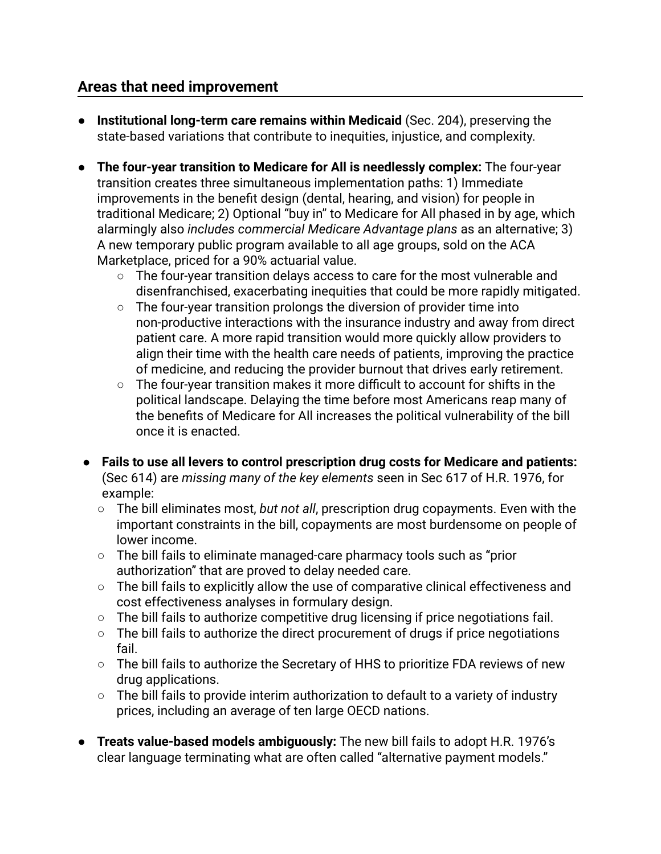### **Areas that need improvement**

- **● Institutional long-term care remains within Medicaid** (Sec. 204), preserving the state-based variations that contribute to inequities, injustice, and complexity.
- **● The four-year transition to Medicare for All is needlessly complex:** The four-year transition creates three simultaneous implementation paths: 1) Immediate improvements in the benefit design (dental, hearing, and vision) for people in traditional Medicare; 2) Optional "buy in" to Medicare for All phased in by age, which alarmingly also *includes commercial Medicare Advantage plans* as an alternative; 3) A new temporary public program available to all age groups, sold on the ACA Marketplace, priced for a 90% actuarial value.
	- The four-year transition delays access to care for the most vulnerable and disenfranchised, exacerbating inequities that could be more rapidly mitigated.
	- The four-year transition prolongs the diversion of provider time into non-productive interactions with the insurance industry and away from direct patient care. A more rapid transition would more quickly allow providers to align their time with the health care needs of patients, improving the practice of medicine, and reducing the provider burnout that drives early retirement.
	- The four-year transition makes it more difficult to account for shifts in the political landscape. Delaying the time before most Americans reap many of the benefits of Medicare for All increases the political vulnerability of the bill once it is enacted.
- **Fails to use all levers to control prescription drug costs for Medicare and patients:** (Sec 614) are *missing many of the key elements* seen in Sec 617 of H.R. 1976, for example:
	- The bill eliminates most, *but not all*, prescription drug copayments. Even with the important constraints in the bill, copayments are most burdensome on people of lower income.
	- The bill fails to eliminate managed-care pharmacy tools such as "prior authorization" that are proved to delay needed care.
	- The bill fails to explicitly allow the use of comparative clinical effectiveness and cost effectiveness analyses in formulary design.
	- The bill fails to authorize competitive drug licensing if price negotiations fail.
	- The bill fails to authorize the direct procurement of drugs if price negotiations fail.
	- The bill fails to authorize the Secretary of HHS to prioritize FDA reviews of new drug applications.
	- The bill fails to provide interim authorization to default to a variety of industry prices, including an average of ten large OECD nations.
- **● Treats value-based models ambiguously:** The new bill fails to adopt H.R. 1976's clear language terminating what are often called "alternative payment models."